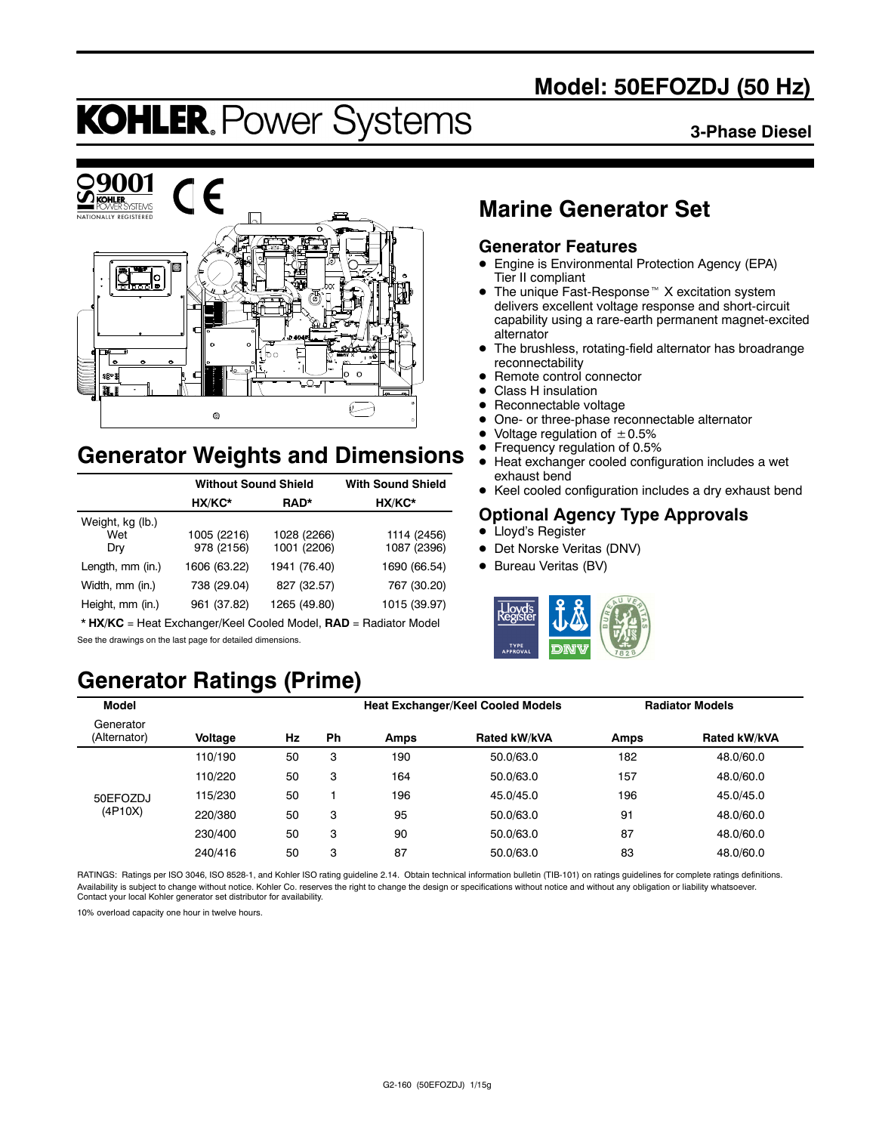# **Model: 50EFOZDJ (50 Hz)**

# **KOHLER. Power Systems**

#### **3-Phase Diesel**



# **Generator Weights and Dimensions**

|                                | <b>Without Sound Shield</b> | <b>With Sound Shield</b>   |                            |
|--------------------------------|-----------------------------|----------------------------|----------------------------|
|                                | HX/KC*                      | RAD*                       | HX/KC*                     |
| Weight, kg (lb.)<br>Wet<br>Dry | 1005 (2216)<br>978 (2156)   | 1028 (2266)<br>1001 (2206) | 1114 (2456)<br>1087 (2396) |
| Length, mm (in.)               | 1606 (63.22)                | 1941 (76.40)               | 1690 (66.54)               |
| Width, mm (in.)                | 738 (29.04)                 | 827 (32.57)                | 767 (30.20)                |
| Height, mm (in.)               | 961 (37.82)                 | 1265 (49.80)               | 1015 (39.97)               |

\* **HX/KC** = Heat Exchanger/Keel Cooled Model, **RAD** = Radiator Model See the drawings on the last page for detailed dimensions.

# **Generator Ratings (Prime)**

# **Marine Generator Set**

### **Generator Features**

- Engine is Environmental Protection Agency (EPA) Tier II compliant
- $\bullet$  The unique Fast-Response<sup> $M$ </sup> X excitation system delivers excellent voltage response and short-circuit capability using a rare-earth permanent magnet-excited alternator
- The brushless, rotating-field alternator has broadrange reconnectability
- Remote control connector
- Class H insulation
- Reconnectable voltage
- One- or three-phase reconnectable alternator
- Voltage regulation of  $\pm 0.5\%$ <br>• Frequency regulation of 0.5%
- Frequency regulation of 0.5%<br>• Heat exchanger cooled config
- Heat exchanger cooled configuration includes a wet exhaust bend
- Keel cooled configuration includes a dry exhaust bend

### **Optional Agency Type Approvals**

- Lloyd's Register
- Det Norske Veritas (DNV)
- Bureau Veritas (BV)



| Model                     |         |    |    |      | <b>Heat Exchanger/Keel Cooled Models</b> |      | <b>Radiator Models</b> |
|---------------------------|---------|----|----|------|------------------------------------------|------|------------------------|
| Generator<br>(Alternator) | Voltage | Hz | Ph | Amps | Rated kW/kVA                             | Amps | Rated kW/kVA           |
|                           | 110/190 | 50 | 3  | 190  | 50.0/63.0                                | 182  | 48.0/60.0              |
|                           | 110/220 | 50 | 3  | 164  | 50.0/63.0                                | 157  | 48.0/60.0              |
| 50EFOZDJ                  | 115/230 | 50 |    | 196  | 45.0/45.0                                | 196  | 45.0/45.0              |
| (4P10X)                   | 220/380 | 50 | 3  | 95   | 50.0/63.0                                | 91   | 48.0/60.0              |
|                           | 230/400 | 50 | 3  | 90   | 50.0/63.0                                | 87   | 48.0/60.0              |
|                           | 240/416 | 50 | 3  | 87   | 50.0/63.0                                | 83   | 48.0/60.0              |

RATINGS: Ratings per ISO 3046, ISO 8528-1, and Kohler ISO rating guideline 2.14. Obtain technical information bulletin (TIB-101) on ratings guidelines for complete ratings definitions. Availability is subject to change without notice. Kohler Co. reserves the right to change the design or specifications without notice and without any obligation or liability whatsoever.<br>Contact your local Kohler generator

10% overload capacity one hour in twelve hours.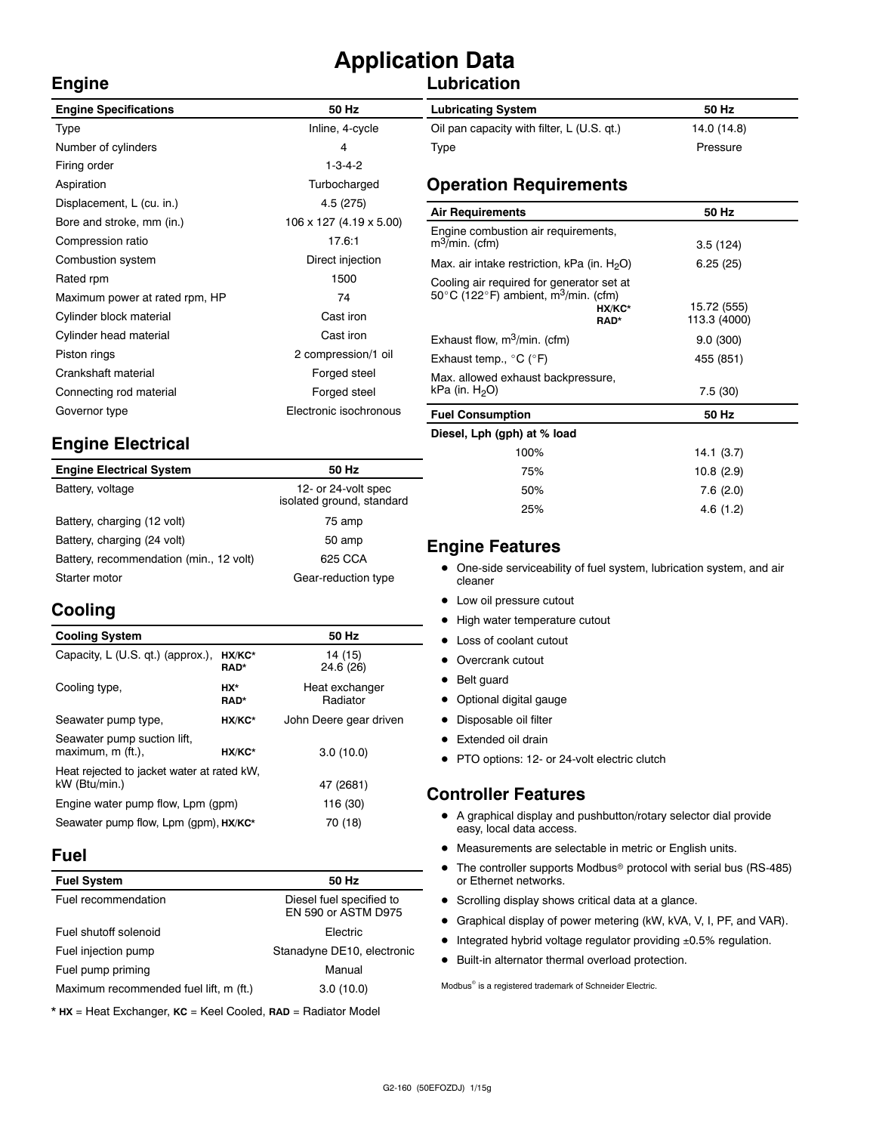# **Application Data**

## **Lubrication**

| <b>Engine Specifications</b>   | 50 Hz                   |
|--------------------------------|-------------------------|
| Type                           | Inline, 4-cycle         |
| Number of cylinders            | 4                       |
| Firing order                   | $1 - 3 - 4 - 2$         |
| Aspiration                     | Turbocharged            |
| Displacement, L (cu. in.)      | 4.5 (275)               |
| Bore and stroke, mm (in.)      | 106 x 127 (4.19 x 5.00) |
| Compression ratio              | 17.6:1                  |
| Combustion system              | Direct injection        |
| Rated rpm                      | 1500                    |
| Maximum power at rated rpm, HP | 74                      |
| Cylinder block material        | Cast iron               |
| Cylinder head material         | Cast iron               |
| Piston rings                   | 2 compression/1 oil     |
| Crankshaft material            | Forged steel            |
| Connecting rod material        | Forged steel            |
| Governor type                  | Electronic isochronous  |
|                                |                         |

# **Engine Electrical**

| <b>Engine Electrical System</b>         | 50 Hz                                            |
|-----------------------------------------|--------------------------------------------------|
| Battery, voltage                        | 12- or 24-volt spec<br>isolated ground, standard |
| Battery, charging (12 volt)             | 75 amp                                           |
| Battery, charging (24 volt)             | 50 amp                                           |
| Battery, recommendation (min., 12 volt) | 625 CCA                                          |
| Starter motor                           | Gear-reduction type                              |

# **Cooling**

**Engine**

| <b>Cooling System</b>                                       |                    | 50 Hz                      |
|-------------------------------------------------------------|--------------------|----------------------------|
| Capacity, L (U.S. qt.) (approx.),                           | HX/KC*<br>RAD*     | 14 (15)<br>24.6 (26)       |
| Cooling type,                                               | HX*<br><b>RAD*</b> | Heat exchanger<br>Radiator |
| Seawater pump type,                                         | HX/KC*             | John Deere gear driven     |
| Seawater pump suction lift,<br>maximum, m (ft.).            | HX/KC*             | 3.0(10.0)                  |
| Heat rejected to jacket water at rated kW,<br>kW (Btu/min.) | 47 (2681)          |                            |
| Engine water pump flow, Lpm (gpm)                           |                    | 116 (30)                   |
| Seawater pump flow, Lpm (qpm), HX/KC*                       | 70 (18)            |                            |

### **Fuel**

| 50 Hz                                           |
|-------------------------------------------------|
| Diesel fuel specified to<br>EN 590 or ASTM D975 |
| Flectric                                        |
| Stanadyne DE10, electronic                      |
| Manual                                          |
| 3.0(10.0)                                       |
|                                                 |

\* **HX** = Heat Exchanger, **KC** = Keel Cooled, **RAD** = Radiator Model

| <b>Lubricating System</b>                  | 50 Hz       |
|--------------------------------------------|-------------|
| Oil pan capacity with filter, L (U.S. qt.) | 14.0 (14.8) |
| Type                                       | Pressure    |

### **Operation Requirements**

| 50 Hz                       |
|-----------------------------|
| 3.5(124)                    |
| 6.25(25)                    |
| 15.72 (555)<br>113.3 (4000) |
| 9.0(300)                    |
| 455 (851)                   |
| 7.5(30)                     |
| 50 Hz                       |
|                             |
| 14.1(3.7)                   |
| 10.8 (2.9)                  |
|                             |

### **Engine Features**

• One-side serviceability of fuel system, lubrication system, and air cleaner

50% 7.6 (2.0) 25% 4.6 (1.2)

- Low oil pressure cutout
- High water temperature cutout
- Loss of coolant cutout
- Overcrank cutout
- Belt guard
- Optional digital gauge
- Disposable oil filter
- Extended oil drain
- PTO options: 12- or 24-volt electric clutch

### **Controller Features**

- A graphical display and pushbutton/rotary selector dial provide easy, local data access.
- $\bullet$  Measurements are selectable in metric or English units.
- $\bullet$  The controller supports Modbus<sup>®</sup> protocol with serial bus (RS-485) or Ethernet networks.
- Scrolling display shows critical data at a glance.
- Graphical display of power metering (kW, kVA, V, I, PF, and VAR).
- $\bullet$  Integrated hybrid voltage regulator providing  $\pm 0.5\%$  regulation.
- $\bullet$  Built-in alternator thermal overload protection.

 $\text{Modbus}^{\otimes}$  is a registered trademark of Schneider Electric.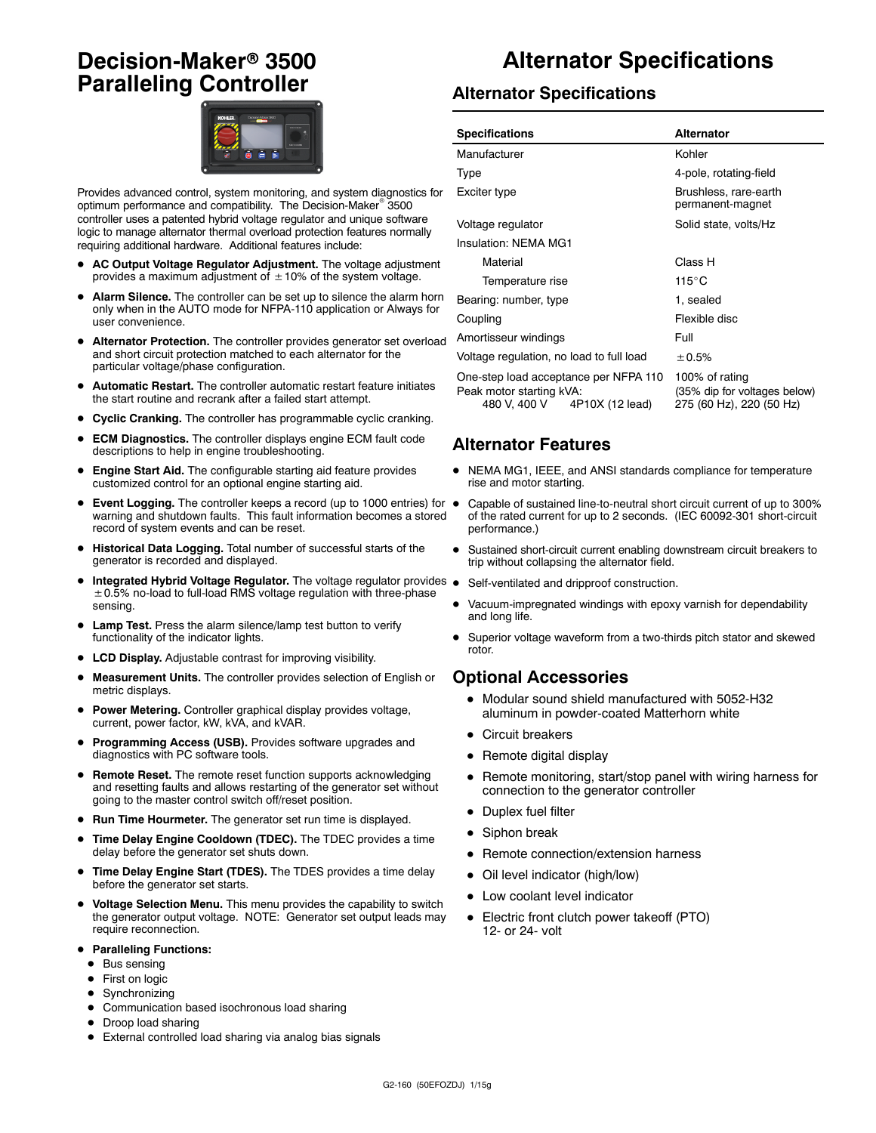# **Decision-Maker<sup>®</sup> 3500 Paralleling Controller**



Provides advanced control, system monitoring, and system diagnostics for optimum performance and compatibility. The Decision-Maker<sup>®</sup> 3500 controller uses a patented hybrid voltage regulator and unique software logic to manage alternator thermal overload protection features normally requiring additional hardware. Additional features include:

- AC Output Voltage Regulator Adjustment. The voltage adjustment provides a maximum adjustment of  $\pm$  10% of the system voltage.
- Alarm Silence. The controller can be set up to silence the alarm horn only when in the AUTO mode for NFPA-110 application or Always for user convenience.
- Alternator Protection. The controller provides generator set overload and short circuit protection matched to each alternator for the particular voltage/phase configuration.
- Automatic Restart. The controller automatic restart feature initiates the start routine and recrank after a failed start attempt.
- **Cyclic Cranking.** The controller has programmable cyclic cranking.
- **ECM Diagnostics.** The controller displays engine ECM fault code descriptions to help in engine troubleshooting.
- Engine Start Aid. The configurable starting aid feature provides customized control for an optional engine starting aid.
- **Event Logging.** The controller keeps a record (up to 1000 entries) for  $\bullet$ warning and shutdown faults. This fault information becomes a stored record of system events and can be reset.
- $\bullet$  Historical Data Logging. Total number of successful starts of the generator is recorded and displayed.
- Integrated Hybrid Voltage Regulator. The voltage regulator provides .  $\pm$  0.5% no-load to full-load RMS voltage regulation with three-phase sensing.
- Lamp Test. Press the alarm silence/lamp test button to verify functionality of the indicator lights.
- LCD Display. Adjustable contrast for improving visibility.
- Measurement Units. The controller provides selection of English or metric displays.
- **Power Metering.** Controller graphical display provides voltage, current, power factor, kW, kVA, and kVAR.
- Programming Access (USB). Provides software upgrades and diagnostics with PC software tools.
- **Remote Reset.** The remote reset function supports acknowledging and resetting faults and allows restarting of the generator set without going to the master control switch off/reset position.
- Run Time Hourmeter. The generator set run time is displayed.
- **Time Delay Engine Cooldown (TDEC).** The TDEC provides a time delay before the generator set shuts down.
- Time Delay Engine Start (TDES). The TDES provides a time delay before the generator set starts.
- $\bullet$  Voltage Selection Menu. This menu provides the capability to switch the generator output voltage. NOTE: Generator set output leads may require reconnection.
- **Paralleling Functions:** 
	- $\bullet$  Bus sensing
	- First on logic
	- $\bullet$  Synchronizing
	- $\bullet$  Communication based isochronous load sharing
	- Droop load sharing
	- External controlled load sharing via analog bias signals

# **Alternator Specifications**

### **Alternator Specifications**

| <b>Specifications</b>                                                                                | Alternator                                                                 |  |
|------------------------------------------------------------------------------------------------------|----------------------------------------------------------------------------|--|
| Manufacturer                                                                                         | Kohler                                                                     |  |
| Type                                                                                                 | 4-pole, rotating-field                                                     |  |
| Exciter type                                                                                         | Brushless, rare-earth<br>permanent-magnet                                  |  |
| Voltage regulator                                                                                    | Solid state, volts/Hz                                                      |  |
| Insulation: NEMA MG1                                                                                 |                                                                            |  |
| Material                                                                                             | Class H                                                                    |  |
| Temperature rise                                                                                     | $115^{\circ}$ C                                                            |  |
| Bearing: number, type                                                                                | 1, sealed                                                                  |  |
| Coupling                                                                                             | Flexible disc                                                              |  |
| Amortisseur windings                                                                                 | Full                                                                       |  |
| Voltage regulation, no load to full load                                                             | ± 0.5%                                                                     |  |
| One-step load acceptance per NFPA 110<br>Peak motor starting kVA:<br>480 V, 400 V<br>4P10X (12 lead) | 100% of rating<br>(35% dip for voltages below)<br>275 (60 Hz), 220 (50 Hz) |  |

### **Alternator Features**

- $\bullet$  NEMA MG1, IEEE, and ANSI standards compliance for temperature rise and motor starting.
- Capable of sustained line-to-neutral short circuit current of up to 300% of the rated current for up to 2 seconds. (IEC 60092-301 short-circuit performance.)
- Sustained short-circuit current enabling downstream circuit breakers to trip without collapsing the alternator field.
- Self-ventilated and dripproof construction.
- Vacuum-impregnated windings with epoxy varnish for dependability and long life.
- Superior voltage waveform from a two-thirds pitch stator and skewed rotor.

#### **Optional Accessories**

- $\bullet$  Modular sound shield manufactured with 5052-H32 aluminum in powder-coated Matterhorn white
- Circuit breakers
- $\bullet$  Remote digital display
- Remote monitoring, start/stop panel with wiring harness for connection to the generator controller
- Duplex fuel filter
- $\bullet$  Siphon break
- Remote connection/extension harness
- Oil level indicator (high/low)
- Low coolant level indicator
- Electric front clutch power takeoff (PTO) 12- or 24- volt